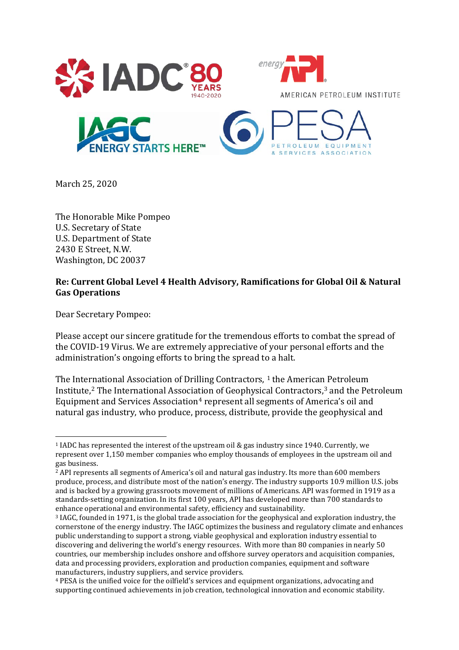

March 25, 2020

The Honorable Mike Pompeo U.S. Secretary of State U.S. Department of State 2430 E Street, N.W. Washington, DC 20037

## **Re: Current Global Level 4 Health Advisory, Ramifications for Global Oil & Natural Gas Operations**

Dear Secretary Pompeo:

Please accept our sincere gratitude for the tremendous efforts to combat the spread of the COVID-19 Virus. We are extremely appreciative of your personal efforts and the administration's ongoing efforts to bring the spread to a halt.

The Inte[rn](#page-0-1)ational Association of Drilling Contractors,  $1$  the American Petroleum Institute, <sup>2</sup> The International Associa[ti](#page-0-3)on of Geophysical Contractors,[3](#page-0-2) and the Petroleum Equipment and Services Association<sup>4</sup> represent all segments of America's oil and natural gas industry, who produce, process, distribute, provide the geophysical and

<span id="page-0-0"></span><sup>1</sup> IADC has represented the interest of the upstream oil & gas industry since 1940. Currently, we represent over 1,150 member companies who employ thousands of employees in the upstream oil and gas business.

<span id="page-0-1"></span><sup>&</sup>lt;sup>2</sup> API represents all segments of America's oil and natural gas industry. Its more than 600 members produce, process, and distribute most of the nation's energy. The industry supports 10.9 million U.S. jobs and is backed by a growing grassroots movement of millions of Americans. API was formed in 1919 as a standards-setting organization. In its first 100 years, API has developed more than 700 standards to enhance operational and environmental safety, efficiency and sustainability.

<span id="page-0-2"></span><sup>3</sup> IAGC, founded in 1971, is the global trade association for the geophysical and exploration industry, the cornerstone of the energy industry. The IAGC optimizes the business and regulatory climate and enhances public understanding to support a strong, viable geophysical and exploration industry essential to discovering and delivering the world's energy resources. With more than 80 companies in nearly 50 countries, our membership includes onshore and offshore survey operators and acquisition companies, data and processing providers, exploration and production companies, equipment and software manufacturers, industry suppliers, and service providers.

<span id="page-0-3"></span><sup>4</sup> PESA is the unified voice for the oilfield's services and equipment organizations, advocating and supporting continued achievements in job creation, technological innovation and economic stability.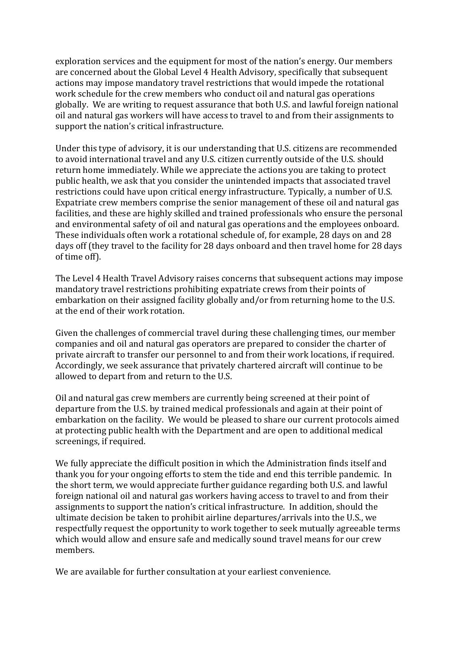exploration services and the equipment for most of the nation's energy. Our members are concerned about the Global Level 4 Health Advisory, specifically that subsequent actions may impose mandatory travel restrictions that would impede the rotational work schedule for the crew members who conduct oil and natural gas operations globally. We are writing to request assurance that both U.S. and lawful foreign national oil and natural gas workers will have access to travel to and from their assignments to support the nation's critical infrastructure.

Under this type of advisory, it is our understanding that U.S. citizens are recommended to avoid international travel and any U.S. citizen currently outside of the U.S. should return home immediately. While we appreciate the actions you are taking to protect public health, we ask that you consider the unintended impacts that associated travel restrictions could have upon critical energy infrastructure. Typically, a number of U.S. Expatriate crew members comprise the senior management of these oil and natural gas facilities, and these are highly skilled and trained professionals who ensure the personal and environmental safety of oil and natural gas operations and the employees onboard. These individuals often work a rotational schedule of, for example, 28 days on and 28 days off (they travel to the facility for 28 days onboard and then travel home for 28 days of time off).

The Level 4 Health Travel Advisory raises concerns that subsequent actions may impose mandatory travel restrictions prohibiting expatriate crews from their points of embarkation on their assigned facility globally and/or from returning home to the U.S. at the end of their work rotation.

Given the challenges of commercial travel during these challenging times, our member companies and oil and natural gas operators are prepared to consider the charter of private aircraft to transfer our personnel to and from their work locations, if required. Accordingly, we seek assurance that privately chartered aircraft will continue to be allowed to depart from and return to the U.S.

Oil and natural gas crew members are currently being screened at their point of departure from the U.S. by trained medical professionals and again at their point of embarkation on the facility. We would be pleased to share our current protocols aimed at protecting public health with the Department and are open to additional medical screenings, if required.

We fully appreciate the difficult position in which the Administration finds itself and thank you for your ongoing efforts to stem the tide and end this terrible pandemic. In the short term, we would appreciate further guidance regarding both U.S. and lawful foreign national oil and natural gas workers having access to travel to and from their assignments to support the nation's critical infrastructure. In addition, should the ultimate decision be taken to prohibit airline departures/arrivals into the U.S., we respectfully request the opportunity to work together to seek mutually agreeable terms which would allow and ensure safe and medically sound travel means for our crew members.

We are available for further consultation at your earliest convenience.